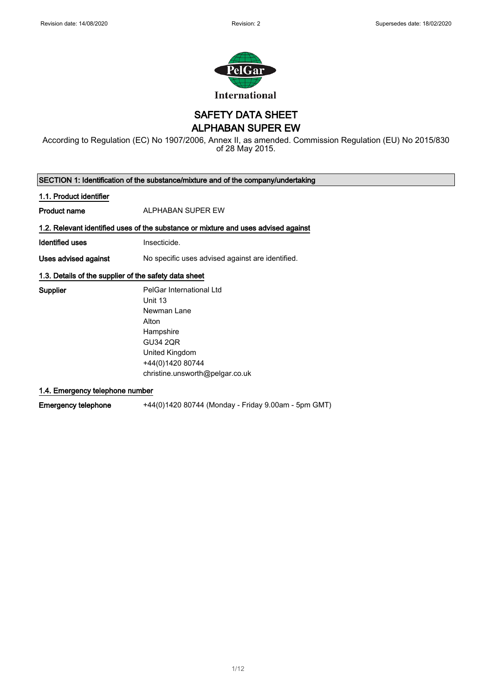

SAFETY DATA SHEET

ALPHABAN SUPER EW

According to Regulation (EC) No 1907/2006, Annex II, as amended. Commission Regulation (EU) No 2015/830 of 28 May 2015.

SECTION 1: Identification of the substance/mixture and of the company/undertaking 1.1. Product identifier Product name ALPHABAN SUPER EW 1.2. Relevant identified uses of the substance or mixture and uses advised against Identified uses **Insecticide**. Uses advised against No specific uses advised against are identified. 1.3. Details of the supplier of the safety data sheet Supplier **PelGar International Ltd** Unit 13 Newman Lane Alton

**Hampshire** GU34 2QR United Kingdom +44(0)1420 80744 christine.unsworth@pelgar.co.uk

1.4. Emergency telephone number

Emergency telephone +44(0)1420 80744 (Monday - Friday 9.00am - 5pm GMT)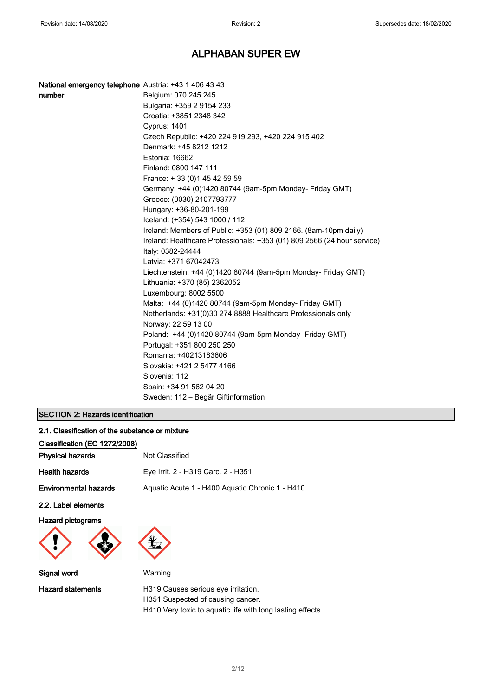| National emergency telephone Austria: +43 1 406 43 43 |                                                                         |
|-------------------------------------------------------|-------------------------------------------------------------------------|
| number                                                | Belgium: 070 245 245                                                    |
|                                                       | Bulgaria: +359 2 9154 233                                               |
|                                                       | Croatia: +3851 2348 342                                                 |
|                                                       | <b>Cyprus: 1401</b>                                                     |
|                                                       | Czech Republic: +420 224 919 293, +420 224 915 402                      |
|                                                       | Denmark: +45 8212 1212                                                  |
|                                                       | Estonia: 16662                                                          |
|                                                       | Finland: 0800 147 111                                                   |
|                                                       | France: +33 (0) 145 42 59 59                                            |
|                                                       | Germany: +44 (0)1420 80744 (9am-5pm Monday- Friday GMT)                 |
|                                                       | Greece: (0030) 2107793777                                               |
|                                                       | Hungary: +36-80-201-199                                                 |
|                                                       | Iceland: (+354) 543 1000 / 112                                          |
|                                                       | Ireland: Members of Public: +353 (01) 809 2166. (8am-10pm daily)        |
|                                                       | Ireland: Healthcare Professionals: +353 (01) 809 2566 (24 hour service) |
|                                                       | Italy: 0382-24444                                                       |
|                                                       | Latvia: +371 67042473                                                   |
|                                                       | Liechtenstein: +44 (0)1420 80744 (9am-5pm Monday- Friday GMT)           |
|                                                       | Lithuania: +370 (85) 2362052                                            |
|                                                       | Luxembourg: 8002 5500                                                   |
|                                                       | Malta: +44 (0)1420 80744 (9am-5pm Monday- Friday GMT)                   |
|                                                       | Netherlands: +31(0)30 274 8888 Healthcare Professionals only            |
|                                                       | Norway: 22 59 13 00                                                     |
|                                                       | Poland: +44 (0)1420 80744 (9am-5pm Monday- Friday GMT)                  |
|                                                       | Portugal: +351 800 250 250                                              |
|                                                       | Romania: +40213183606                                                   |
|                                                       | Slovakia: +421 2 5477 4166                                              |
|                                                       | Slovenia: 112                                                           |
|                                                       | Spain: +34 91 562 04 20                                                 |
|                                                       | Sweden: 112 – Begär Giftinformation                                     |

### SECTION 2: Hazards identification

| 2.1. Classification of the substance or mixture |                                                 |
|-------------------------------------------------|-------------------------------------------------|
| Classification (EC 1272/2008)                   |                                                 |
| <b>Physical hazards</b>                         | Not Classified                                  |
| <b>Health hazards</b>                           | Eye Irrit. 2 - H319 Carc. 2 - H351              |
| <b>Environmental hazards</b>                    | Aguatic Acute 1 - H400 Aguatic Chronic 1 - H410 |
| 2.2. Label elements                             |                                                 |
| <b>Hazard pictograms</b>                        |                                                 |

Signal word Warning

Hazard statements **H319 Causes serious eye irritation**. H351 Suspected of causing cancer. H410 Very toxic to aquatic life with long lasting effects.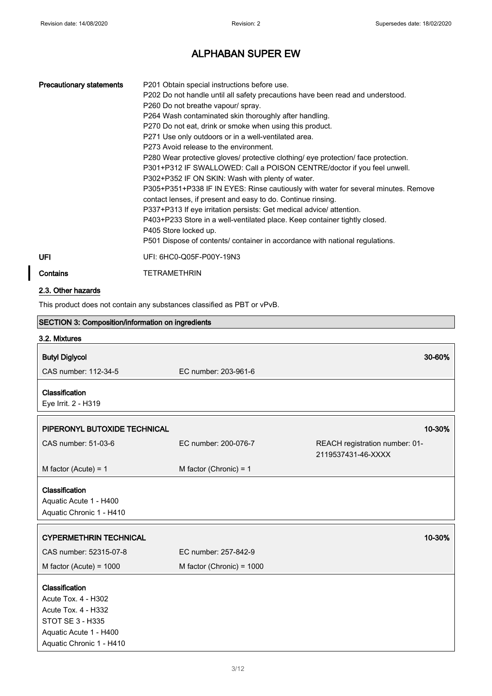| <b>Precautionary statements</b>                          | P201 Obtain special instructions before use.<br>P202 Do not handle until all safety precautions have been read and understood.<br>P260 Do not breathe vapour/ spray.<br>P264 Wash contaminated skin thoroughly after handling.<br>P270 Do not eat, drink or smoke when using this product.<br>P271 Use only outdoors or in a well-ventilated area.<br>P273 Avoid release to the environment.<br>P280 Wear protective gloves/ protective clothing/ eye protection/ face protection.<br>P301+P312 IF SWALLOWED: Call a POISON CENTRE/doctor if you feel unwell.<br>P302+P352 IF ON SKIN: Wash with plenty of water.<br>contact lenses, if present and easy to do. Continue rinsing.<br>P337+P313 If eye irritation persists: Get medical advice/ attention.<br>P403+P233 Store in a well-ventilated place. Keep container tightly closed.<br>P405 Store locked up.<br>P501 Dispose of contents/ container in accordance with national regulations. | P305+P351+P338 IF IN EYES: Rinse cautiously with water for several minutes. Remove |
|----------------------------------------------------------|--------------------------------------------------------------------------------------------------------------------------------------------------------------------------------------------------------------------------------------------------------------------------------------------------------------------------------------------------------------------------------------------------------------------------------------------------------------------------------------------------------------------------------------------------------------------------------------------------------------------------------------------------------------------------------------------------------------------------------------------------------------------------------------------------------------------------------------------------------------------------------------------------------------------------------------------------|------------------------------------------------------------------------------------|
| UFI                                                      | UFI: 6HC0-Q05F-P00Y-19N3                                                                                                                                                                                                                                                                                                                                                                                                                                                                                                                                                                                                                                                                                                                                                                                                                                                                                                                         |                                                                                    |
| Contains                                                 | <b>TETRAMETHRIN</b>                                                                                                                                                                                                                                                                                                                                                                                                                                                                                                                                                                                                                                                                                                                                                                                                                                                                                                                              |                                                                                    |
| 2.3. Other hazards                                       |                                                                                                                                                                                                                                                                                                                                                                                                                                                                                                                                                                                                                                                                                                                                                                                                                                                                                                                                                  |                                                                                    |
|                                                          | This product does not contain any substances classified as PBT or vPvB.                                                                                                                                                                                                                                                                                                                                                                                                                                                                                                                                                                                                                                                                                                                                                                                                                                                                          |                                                                                    |
| <b>SECTION 3: Composition/information on ingredients</b> |                                                                                                                                                                                                                                                                                                                                                                                                                                                                                                                                                                                                                                                                                                                                                                                                                                                                                                                                                  |                                                                                    |
| 3.2. Mixtures                                            |                                                                                                                                                                                                                                                                                                                                                                                                                                                                                                                                                                                                                                                                                                                                                                                                                                                                                                                                                  |                                                                                    |
| <b>Butyl Diglycol</b><br>CAS number: 112-34-5            | EC number: 203-961-6                                                                                                                                                                                                                                                                                                                                                                                                                                                                                                                                                                                                                                                                                                                                                                                                                                                                                                                             | 30-60%                                                                             |
| Classification<br>Eye Irrit. 2 - H319                    |                                                                                                                                                                                                                                                                                                                                                                                                                                                                                                                                                                                                                                                                                                                                                                                                                                                                                                                                                  |                                                                                    |
| PIPERONYL BUTOXIDE TECHNICAL                             |                                                                                                                                                                                                                                                                                                                                                                                                                                                                                                                                                                                                                                                                                                                                                                                                                                                                                                                                                  | 10-30%                                                                             |
| CAS number: 51-03-6                                      | EC number: 200-076-7                                                                                                                                                                                                                                                                                                                                                                                                                                                                                                                                                                                                                                                                                                                                                                                                                                                                                                                             | REACH registration number: 01-<br>2119537431-46-XXXX                               |
| M factor (Acute) = 1                                     | M factor (Chronic) = $1$                                                                                                                                                                                                                                                                                                                                                                                                                                                                                                                                                                                                                                                                                                                                                                                                                                                                                                                         |                                                                                    |

#### Classification

Aquatic Acute 1 - H400 Aquatic Chronic 1 - H410

| <b>CYPERMETHRIN TECHNICAL</b>                |                             | 10-30% |
|----------------------------------------------|-----------------------------|--------|
| CAS number: 52315-07-8                       | EC number: 257-842-9        |        |
| M factor (Acute) = $1000$                    | M factor (Chronic) = $1000$ |        |
| <b>Classification</b><br>Acute Tox. 4 - H302 |                             |        |

Acute Tox. 4 - H332 STOT SE 3 - H335 Aquatic Acute 1 - H400 Aquatic Chronic 1 - H410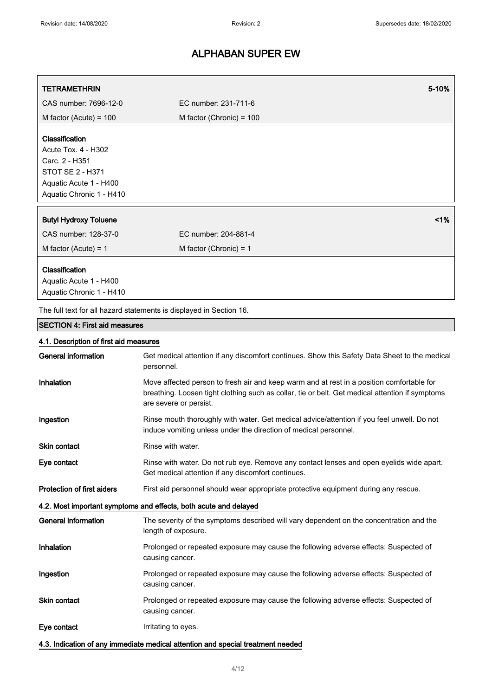| <b>TETRAMETHRIN</b>                                                                                                                      | 5-10%                                                                                                                                                                                                                  |
|------------------------------------------------------------------------------------------------------------------------------------------|------------------------------------------------------------------------------------------------------------------------------------------------------------------------------------------------------------------------|
| CAS number: 7696-12-0                                                                                                                    | EC number: 231-711-6                                                                                                                                                                                                   |
| M factor (Acute) = $100$                                                                                                                 | M factor (Chronic) = 100                                                                                                                                                                                               |
| Classification<br>Acute Tox. 4 - H302<br>Carc. 2 - H351<br><b>STOT SE 2 - H371</b><br>Aquatic Acute 1 - H400<br>Aquatic Chronic 1 - H410 |                                                                                                                                                                                                                        |
| <b>Butyl Hydroxy Toluene</b>                                                                                                             | 1%                                                                                                                                                                                                                     |
| CAS number: 128-37-0                                                                                                                     | EC number: 204-881-4                                                                                                                                                                                                   |
| M factor (Acute) = $1$                                                                                                                   | M factor (Chronic) = $1$                                                                                                                                                                                               |
| Classification<br>Aquatic Acute 1 - H400<br>Aquatic Chronic 1 - H410                                                                     |                                                                                                                                                                                                                        |
|                                                                                                                                          | The full text for all hazard statements is displayed in Section 16.                                                                                                                                                    |
| <b>SECTION 4: First aid measures</b>                                                                                                     |                                                                                                                                                                                                                        |
| 4.1. Description of first aid measures                                                                                                   |                                                                                                                                                                                                                        |
| <b>General information</b>                                                                                                               | Get medical attention if any discomfort continues. Show this Safety Data Sheet to the medical<br>personnel.                                                                                                            |
| Inhalation                                                                                                                               | Move affected person to fresh air and keep warm and at rest in a position comfortable for<br>breathing. Loosen tight clothing such as collar, tie or belt. Get medical attention if symptoms<br>are severe or persist. |
| Ingestion                                                                                                                                | Rinse mouth thoroughly with water. Get medical advice/attention if you feel unwell. Do not<br>induce vomiting unless under the direction of medical personnel.                                                         |
| Skin contact                                                                                                                             | Rinse with water.                                                                                                                                                                                                      |
| Eye contact                                                                                                                              | Rinse with water. Do not rub eye. Remove any contact lenses and open eyelids wide apart.<br>Get medical attention if any discomfort continues.                                                                         |
| <b>Protection of first aiders</b>                                                                                                        | First aid personnel should wear appropriate protective equipment during any rescue.                                                                                                                                    |
|                                                                                                                                          | 4.2. Most important symptoms and effects, both acute and delayed                                                                                                                                                       |
| <b>General information</b>                                                                                                               | The severity of the symptoms described will vary dependent on the concentration and the<br>length of exposure.                                                                                                         |
| Inhalation                                                                                                                               | Prolonged or repeated exposure may cause the following adverse effects: Suspected of<br>causing cancer.                                                                                                                |
| Ingestion                                                                                                                                | Prolonged or repeated exposure may cause the following adverse effects: Suspected of<br>causing cancer.                                                                                                                |
| Skin contact                                                                                                                             | Prolonged or repeated exposure may cause the following adverse effects: Suspected of<br>causing cancer.                                                                                                                |
| Eye contact                                                                                                                              | Irritating to eyes.                                                                                                                                                                                                    |
|                                                                                                                                          | 4.3. Indication of any immediate medical attention and special treatment needed                                                                                                                                        |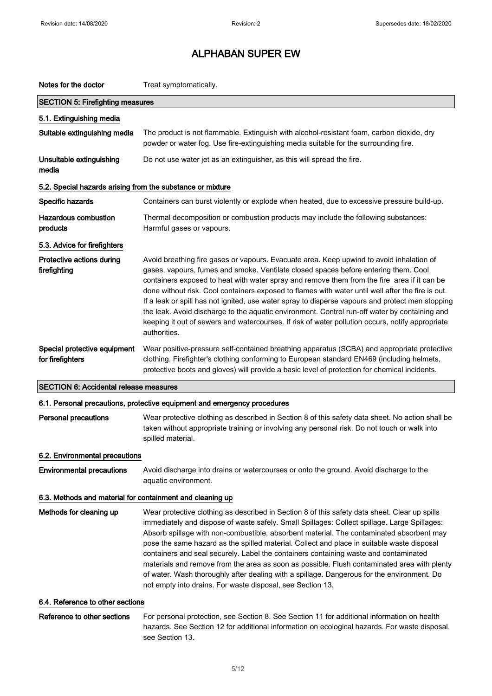| Notes for the doctor                                       | Treat symptomatically.                                                                                                                                                                                                                                                                                                                                                                                                                                                                                                                                                                                                                                                                                                                     |  |
|------------------------------------------------------------|--------------------------------------------------------------------------------------------------------------------------------------------------------------------------------------------------------------------------------------------------------------------------------------------------------------------------------------------------------------------------------------------------------------------------------------------------------------------------------------------------------------------------------------------------------------------------------------------------------------------------------------------------------------------------------------------------------------------------------------------|--|
| <b>SECTION 5: Firefighting measures</b>                    |                                                                                                                                                                                                                                                                                                                                                                                                                                                                                                                                                                                                                                                                                                                                            |  |
| 5.1. Extinguishing media                                   |                                                                                                                                                                                                                                                                                                                                                                                                                                                                                                                                                                                                                                                                                                                                            |  |
| Suitable extinguishing media                               | The product is not flammable. Extinguish with alcohol-resistant foam, carbon dioxide, dry<br>powder or water fog. Use fire-extinguishing media suitable for the surrounding fire.                                                                                                                                                                                                                                                                                                                                                                                                                                                                                                                                                          |  |
| Unsuitable extinguishing<br>media                          | Do not use water jet as an extinguisher, as this will spread the fire.                                                                                                                                                                                                                                                                                                                                                                                                                                                                                                                                                                                                                                                                     |  |
| 5.2. Special hazards arising from the substance or mixture |                                                                                                                                                                                                                                                                                                                                                                                                                                                                                                                                                                                                                                                                                                                                            |  |
| Specific hazards                                           | Containers can burst violently or explode when heated, due to excessive pressure build-up.                                                                                                                                                                                                                                                                                                                                                                                                                                                                                                                                                                                                                                                 |  |
| <b>Hazardous combustion</b><br>products                    | Thermal decomposition or combustion products may include the following substances:<br>Harmful gases or vapours.                                                                                                                                                                                                                                                                                                                                                                                                                                                                                                                                                                                                                            |  |
| 5.3. Advice for firefighters                               |                                                                                                                                                                                                                                                                                                                                                                                                                                                                                                                                                                                                                                                                                                                                            |  |
| Protective actions during<br>firefighting                  | Avoid breathing fire gases or vapours. Evacuate area. Keep upwind to avoid inhalation of<br>gases, vapours, fumes and smoke. Ventilate closed spaces before entering them. Cool<br>containers exposed to heat with water spray and remove them from the fire area if it can be<br>done without risk. Cool containers exposed to flames with water until well after the fire is out.<br>If a leak or spill has not ignited, use water spray to disperse vapours and protect men stopping<br>the leak. Avoid discharge to the aquatic environment. Control run-off water by containing and<br>keeping it out of sewers and watercourses. If risk of water pollution occurs, notify appropriate<br>authorities.                               |  |
| Special protective equipment<br>for firefighters           | Wear positive-pressure self-contained breathing apparatus (SCBA) and appropriate protective<br>clothing. Firefighter's clothing conforming to European standard EN469 (including helmets,<br>protective boots and gloves) will provide a basic level of protection for chemical incidents.                                                                                                                                                                                                                                                                                                                                                                                                                                                 |  |
| <b>SECTION 6: Accidental release measures</b>              |                                                                                                                                                                                                                                                                                                                                                                                                                                                                                                                                                                                                                                                                                                                                            |  |
|                                                            | 6.1. Personal precautions, protective equipment and emergency procedures                                                                                                                                                                                                                                                                                                                                                                                                                                                                                                                                                                                                                                                                   |  |
| <b>Personal precautions</b>                                | Wear protective clothing as described in Section 8 of this safety data sheet. No action shall be<br>taken without appropriate training or involving any personal risk. Do not touch or walk into<br>spilled material.                                                                                                                                                                                                                                                                                                                                                                                                                                                                                                                      |  |
| 6.2. Environmental precautions                             |                                                                                                                                                                                                                                                                                                                                                                                                                                                                                                                                                                                                                                                                                                                                            |  |
| <b>Environmental precautions</b>                           | Avoid discharge into drains or watercourses or onto the ground. Avoid discharge to the<br>aquatic environment.                                                                                                                                                                                                                                                                                                                                                                                                                                                                                                                                                                                                                             |  |
| 6.3. Methods and material for containment and cleaning up  |                                                                                                                                                                                                                                                                                                                                                                                                                                                                                                                                                                                                                                                                                                                                            |  |
| Methods for cleaning up                                    | Wear protective clothing as described in Section 8 of this safety data sheet. Clear up spills<br>immediately and dispose of waste safely. Small Spillages: Collect spillage. Large Spillages:<br>Absorb spillage with non-combustible, absorbent material. The contaminated absorbent may<br>pose the same hazard as the spilled material. Collect and place in suitable waste disposal<br>containers and seal securely. Label the containers containing waste and contaminated<br>materials and remove from the area as soon as possible. Flush contaminated area with plenty<br>of water. Wash thoroughly after dealing with a spillage. Dangerous for the environment. Do<br>not empty into drains. For waste disposal, see Section 13. |  |
| 6.4. Reference to other sections                           |                                                                                                                                                                                                                                                                                                                                                                                                                                                                                                                                                                                                                                                                                                                                            |  |
| Reference to other sections                                | For personal protection, see Section 8. See Section 11 for additional information on health<br>hazards. See Section 12 for additional information on ecological hazards. For waste disposal,<br>see Section 13.                                                                                                                                                                                                                                                                                                                                                                                                                                                                                                                            |  |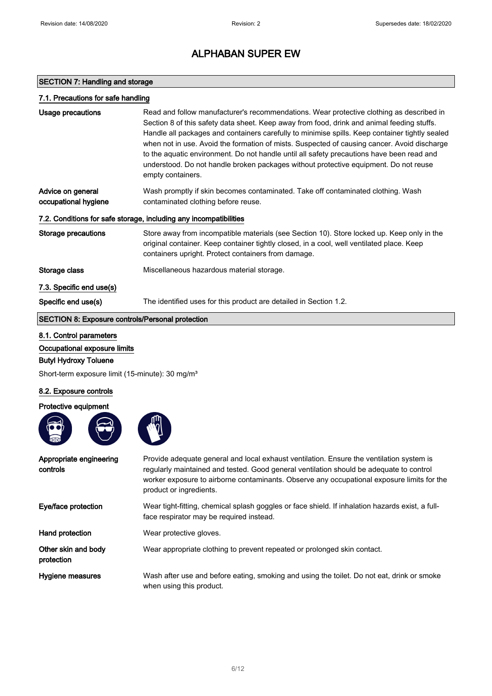### SECTION 7: Handling and storage

| 7.1. Precautions for safe handling                                |                                                                                                                                                                                                                                                                                                                                                                                                                                                                                                                                                                                                   |  |
|-------------------------------------------------------------------|---------------------------------------------------------------------------------------------------------------------------------------------------------------------------------------------------------------------------------------------------------------------------------------------------------------------------------------------------------------------------------------------------------------------------------------------------------------------------------------------------------------------------------------------------------------------------------------------------|--|
| Usage precautions                                                 | Read and follow manufacturer's recommendations. Wear protective clothing as described in<br>Section 8 of this safety data sheet. Keep away from food, drink and animal feeding stuffs.<br>Handle all packages and containers carefully to minimise spills. Keep container tightly sealed<br>when not in use. Avoid the formation of mists. Suspected of causing cancer. Avoid discharge<br>to the aquatic environment. Do not handle until all safety precautions have been read and<br>understood. Do not handle broken packages without protective equipment. Do not reuse<br>empty containers. |  |
| Advice on general<br>occupational hygiene                         | Wash promptly if skin becomes contaminated. Take off contaminated clothing. Wash<br>contaminated clothing before reuse.                                                                                                                                                                                                                                                                                                                                                                                                                                                                           |  |
| 7.2. Conditions for safe storage, including any incompatibilities |                                                                                                                                                                                                                                                                                                                                                                                                                                                                                                                                                                                                   |  |
| <b>Storage precautions</b>                                        | Store away from incompatible materials (see Section 10). Store locked up. Keep only in the<br>original container. Keep container tightly closed, in a cool, well ventilated place. Keep<br>containers upright. Protect containers from damage.                                                                                                                                                                                                                                                                                                                                                    |  |
| Storage class                                                     | Miscellaneous hazardous material storage.                                                                                                                                                                                                                                                                                                                                                                                                                                                                                                                                                         |  |
| 7.3. Specific end use(s)                                          |                                                                                                                                                                                                                                                                                                                                                                                                                                                                                                                                                                                                   |  |
| Specific end use(s)                                               | The identified uses for this product are detailed in Section 1.2.                                                                                                                                                                                                                                                                                                                                                                                                                                                                                                                                 |  |
| <b>SECTION 8: Exposure controls/Personal protection</b>           |                                                                                                                                                                                                                                                                                                                                                                                                                                                                                                                                                                                                   |  |

### 8.1. Control parameters

Occupational exposure limits

### Butyl Hydroxy Toluene

Short-term exposure limit (15-minute): 30 mg/m<sup>3</sup>

### 8.2. Exposure controls

Protective equipment





| Appropriate engineering<br>controls | Provide adequate general and local exhaust ventilation. Ensure the ventilation system is<br>requiarly maintained and tested. Good general ventilation should be adequate to control<br>worker exposure to airborne contaminants. Observe any occupational exposure limits for the<br>product or ingredients. |
|-------------------------------------|--------------------------------------------------------------------------------------------------------------------------------------------------------------------------------------------------------------------------------------------------------------------------------------------------------------|
| Eye/face protection                 | Wear tight-fitting, chemical splash goggles or face shield. If inhalation hazards exist, a full-<br>face respirator may be required instead.                                                                                                                                                                 |
| Hand protection                     | Wear protective gloves.                                                                                                                                                                                                                                                                                      |
| Other skin and body<br>protection   | Wear appropriate clothing to prevent repeated or prolonged skin contact.                                                                                                                                                                                                                                     |
| Hygiene measures                    | Wash after use and before eating, smoking and using the toilet. Do not eat, drink or smoke<br>when using this product.                                                                                                                                                                                       |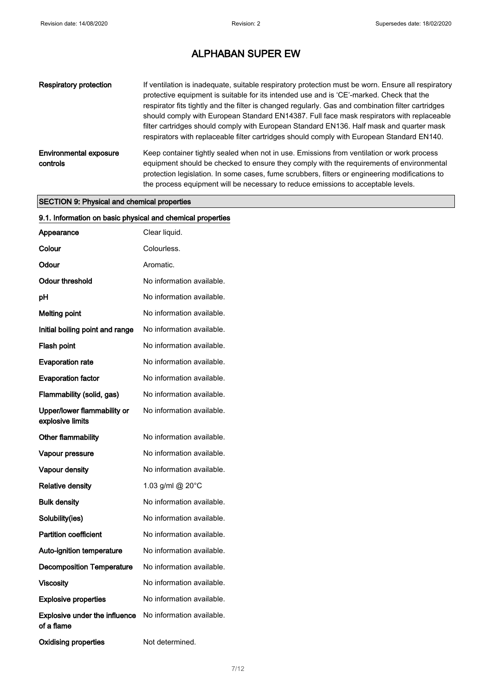| <b>Respiratory protection</b>             | If ventilation is inadequate, suitable respiratory protection must be worn. Ensure all respiratory<br>protective equipment is suitable for its intended use and is 'CE'-marked. Check that the<br>respirator fits tightly and the filter is changed regularly. Gas and combination filter cartridges<br>should comply with European Standard EN14387. Full face mask respirators with replaceable<br>filter cartridges should comply with European Standard EN136. Half mask and quarter mask<br>respirators with replaceable filter cartridges should comply with European Standard EN140. |
|-------------------------------------------|---------------------------------------------------------------------------------------------------------------------------------------------------------------------------------------------------------------------------------------------------------------------------------------------------------------------------------------------------------------------------------------------------------------------------------------------------------------------------------------------------------------------------------------------------------------------------------------------|
| <b>Environmental exposure</b><br>controls | Keep container tightly sealed when not in use. Emissions from ventilation or work process<br>equipment should be checked to ensure they comply with the requirements of environmental<br>protection legislation. In some cases, fume scrubbers, filters or engineering modifications to<br>the process equipment will be necessary to reduce emissions to acceptable levels.                                                                                                                                                                                                                |

### SECTION 9: Physical and chemical properties

| 9.1. Information on basic physical and chemical properties |                           |
|------------------------------------------------------------|---------------------------|
| Appearance                                                 | Clear liquid.             |
| Colour                                                     | Colourless.               |
| Odour                                                      | Aromatic.                 |
| Odour threshold                                            | No information available. |
| рH                                                         | No information available. |
| <b>Melting point</b>                                       | No information available. |
| Initial boiling point and range                            | No information available. |
| Flash point                                                | No information available. |
| <b>Evaporation rate</b>                                    | No information available. |
| <b>Evaporation factor</b>                                  | No information available. |
| Flammability (solid, gas)                                  | No information available. |
| Upper/lower flammability or<br>explosive limits            | No information available. |
| <b>Other flammability</b>                                  | No information available. |
| Vapour pressure                                            | No information available. |
| Vapour density                                             | No information available. |
| <b>Relative density</b>                                    | 1.03 g/ml @ 20°C          |
| <b>Bulk density</b>                                        | No information available. |
| Solubility(ies)                                            | No information available. |
| <b>Partition coefficient</b>                               | No information available. |
| Auto-ignition temperature                                  | No information available. |
| <b>Decomposition Temperature</b>                           | No information available. |
| <b>Viscosity</b>                                           | No information available. |
| <b>Explosive properties</b>                                | No information available. |
| <b>Explosive under the influence</b><br>of a flame         | No information available. |
| <b>Oxidising properties</b>                                | Not determined.           |

7/ 12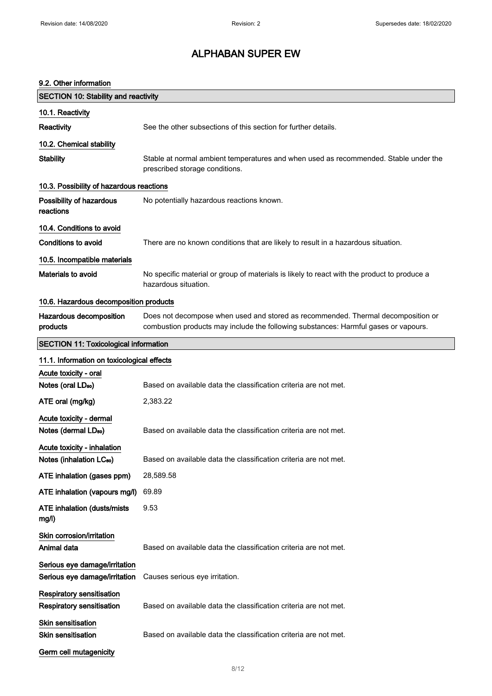#### 9.2. Other information

| <b>SECTION 10: Stability and reactivity</b>                          |                                                                                                                                                                         |
|----------------------------------------------------------------------|-------------------------------------------------------------------------------------------------------------------------------------------------------------------------|
| 10.1. Reactivity                                                     |                                                                                                                                                                         |
| Reactivity                                                           | See the other subsections of this section for further details.                                                                                                          |
| 10.2. Chemical stability                                             |                                                                                                                                                                         |
| <b>Stability</b>                                                     | Stable at normal ambient temperatures and when used as recommended. Stable under the<br>prescribed storage conditions.                                                  |
| 10.3. Possibility of hazardous reactions                             |                                                                                                                                                                         |
| Possibility of hazardous<br>reactions                                | No potentially hazardous reactions known.                                                                                                                               |
| 10.4. Conditions to avoid                                            |                                                                                                                                                                         |
| <b>Conditions to avoid</b>                                           | There are no known conditions that are likely to result in a hazardous situation.                                                                                       |
| 10.5. Incompatible materials                                         |                                                                                                                                                                         |
| Materials to avoid                                                   | No specific material or group of materials is likely to react with the product to produce a<br>hazardous situation.                                                     |
| 10.6. Hazardous decomposition products                               |                                                                                                                                                                         |
| Hazardous decomposition<br>products                                  | Does not decompose when used and stored as recommended. Thermal decomposition or<br>combustion products may include the following substances: Harmful gases or vapours. |
| <b>SECTION 11: Toxicological information</b>                         |                                                                                                                                                                         |
| 11.1. Information on toxicological effects                           |                                                                                                                                                                         |
| Acute toxicity - oral                                                |                                                                                                                                                                         |
| Notes (oral LD <sub>50</sub> )                                       | Based on available data the classification criteria are not met.                                                                                                        |
| ATE oral (mg/kg)                                                     | 2,383.22                                                                                                                                                                |
| Acute toxicity - dermal<br>Notes (dermal LD <sub>50</sub> )          | Based on available data the classification criteria are not met.                                                                                                        |
| Acute toxicity - inhalation                                          |                                                                                                                                                                         |
| Notes (inhalation LC <sub>50</sub> )                                 | Based on available data the classification criteria are not met.                                                                                                        |
| ATE inhalation (gases ppm)                                           | 28,589.58                                                                                                                                                               |
| ATE inhalation (vapours mg/l)                                        | 69.89                                                                                                                                                                   |
| <b>ATE inhalation (dusts/mists)</b><br>mg/l)                         | 9.53                                                                                                                                                                    |
| Skin corrosion/irritation                                            |                                                                                                                                                                         |
| Animal data                                                          | Based on available data the classification criteria are not met.                                                                                                        |
| Serious eye damage/irritation<br>Serious eye damage/irritation       | Causes serious eye irritation.                                                                                                                                          |
| <b>Respiratory sensitisation</b><br><b>Respiratory sensitisation</b> | Based on available data the classification criteria are not met.                                                                                                        |
| <b>Skin sensitisation</b><br><b>Skin sensitisation</b>               | Based on available data the classification criteria are not met.                                                                                                        |
| Germ cell mutagenicity                                               |                                                                                                                                                                         |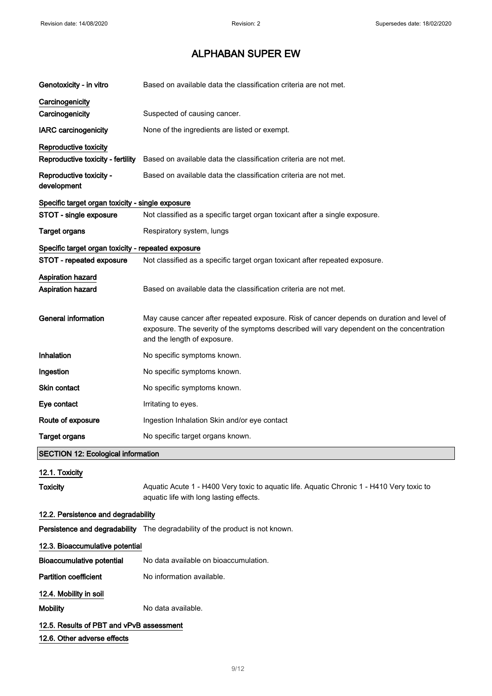| Genotoxicity - in vitro                              | Based on available data the classification criteria are not met.                                                                                                                                                      |  |
|------------------------------------------------------|-----------------------------------------------------------------------------------------------------------------------------------------------------------------------------------------------------------------------|--|
| Carcinogenicity<br>Carcinogenicity                   | Suspected of causing cancer.                                                                                                                                                                                          |  |
| <b>IARC carcinogenicity</b>                          | None of the ingredients are listed or exempt.                                                                                                                                                                         |  |
| Reproductive toxicity                                |                                                                                                                                                                                                                       |  |
| Reproductive toxicity - fertility                    | Based on available data the classification criteria are not met.                                                                                                                                                      |  |
| Reproductive toxicity -<br>development               | Based on available data the classification criteria are not met.                                                                                                                                                      |  |
| Specific target organ toxicity - single exposure     |                                                                                                                                                                                                                       |  |
| STOT - single exposure                               | Not classified as a specific target organ toxicant after a single exposure.                                                                                                                                           |  |
| <b>Target organs</b>                                 | Respiratory system, lungs                                                                                                                                                                                             |  |
| Specific target organ toxicity - repeated exposure   |                                                                                                                                                                                                                       |  |
| STOT - repeated exposure                             | Not classified as a specific target organ toxicant after repeated exposure.                                                                                                                                           |  |
| <b>Aspiration hazard</b><br><b>Aspiration hazard</b> | Based on available data the classification criteria are not met.                                                                                                                                                      |  |
| <b>General information</b>                           | May cause cancer after repeated exposure. Risk of cancer depends on duration and level of<br>exposure. The severity of the symptoms described will vary dependent on the concentration<br>and the length of exposure. |  |
| <b>Inhalation</b>                                    | No specific symptoms known.                                                                                                                                                                                           |  |
| Ingestion                                            | No specific symptoms known.                                                                                                                                                                                           |  |
| Skin contact                                         | No specific symptoms known.                                                                                                                                                                                           |  |
| Eye contact                                          | Irritating to eyes.                                                                                                                                                                                                   |  |
| Route of exposure                                    | Ingestion Inhalation Skin and/or eye contact                                                                                                                                                                          |  |
| <b>Target organs</b>                                 | No specific target organs known.                                                                                                                                                                                      |  |
| <b>SECTION 12: Ecological information</b>            |                                                                                                                                                                                                                       |  |
| 12.1. Toxicity                                       |                                                                                                                                                                                                                       |  |
| <b>Toxicity</b>                                      | Aquatic Acute 1 - H400 Very toxic to aquatic life. Aquatic Chronic 1 - H410 Very toxic to<br>aquatic life with long lasting effects.                                                                                  |  |
| 12.2. Persistence and degradability                  |                                                                                                                                                                                                                       |  |
|                                                      | Persistence and degradability The degradability of the product is not known.                                                                                                                                          |  |
| 12.3. Bioaccumulative potential                      |                                                                                                                                                                                                                       |  |
| <b>Bioaccumulative potential</b>                     | No data available on bioaccumulation.                                                                                                                                                                                 |  |
| <b>Partition coefficient</b>                         | No information available.                                                                                                                                                                                             |  |
| 12.4. Mobility in soil                               |                                                                                                                                                                                                                       |  |
| <b>Mobility</b>                                      | No data available.                                                                                                                                                                                                    |  |
| 12.5. Results of PBT and vPvB assessment             |                                                                                                                                                                                                                       |  |
| 12.6. Other adverse effects                          |                                                                                                                                                                                                                       |  |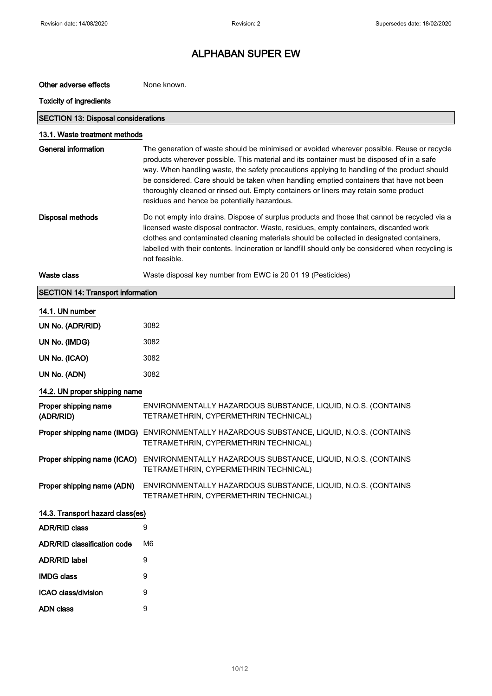| Other adverse effects                      | None known.                                                                                                                                                                                                                                                                                                                                                                                                                                                                                                               |
|--------------------------------------------|---------------------------------------------------------------------------------------------------------------------------------------------------------------------------------------------------------------------------------------------------------------------------------------------------------------------------------------------------------------------------------------------------------------------------------------------------------------------------------------------------------------------------|
| <b>Toxicity of ingredients</b>             |                                                                                                                                                                                                                                                                                                                                                                                                                                                                                                                           |
| <b>SECTION 13: Disposal considerations</b> |                                                                                                                                                                                                                                                                                                                                                                                                                                                                                                                           |
| 13.1. Waste treatment methods              |                                                                                                                                                                                                                                                                                                                                                                                                                                                                                                                           |
| <b>General information</b>                 | The generation of waste should be minimised or avoided wherever possible. Reuse or recycle<br>products wherever possible. This material and its container must be disposed of in a safe<br>way. When handling waste, the safety precautions applying to handling of the product should<br>be considered. Care should be taken when handling emptied containers that have not been<br>thoroughly cleaned or rinsed out. Empty containers or liners may retain some product<br>residues and hence be potentially hazardous. |
| Disposal methods                           | Do not empty into drains. Dispose of surplus products and those that cannot be recycled via a<br>licensed waste disposal contractor. Waste, residues, empty containers, discarded work<br>clothes and contaminated cleaning materials should be collected in designated containers,<br>labelled with their contents. Incineration or landfill should only be considered when recycling is<br>not feasible.                                                                                                                |
| <b>Waste class</b>                         | Waste disposal key number from EWC is 20 01 19 (Pesticides)                                                                                                                                                                                                                                                                                                                                                                                                                                                               |
| <b>SECTION 14: Transport information</b>   |                                                                                                                                                                                                                                                                                                                                                                                                                                                                                                                           |
| 14.1. UN number                            |                                                                                                                                                                                                                                                                                                                                                                                                                                                                                                                           |
| UN No. (ADR/RID)                           | 3082                                                                                                                                                                                                                                                                                                                                                                                                                                                                                                                      |
| UN No. (IMDG)                              | 3082                                                                                                                                                                                                                                                                                                                                                                                                                                                                                                                      |
| UN No. (ICAO)                              | 3082                                                                                                                                                                                                                                                                                                                                                                                                                                                                                                                      |
| UN No. (ADN)                               | 3082                                                                                                                                                                                                                                                                                                                                                                                                                                                                                                                      |
| 14.2. UN proper shipping name              |                                                                                                                                                                                                                                                                                                                                                                                                                                                                                                                           |
| Proper shipping name<br>(ADR/RID)          | ENVIRONMENTALLY HAZARDOUS SUBSTANCE, LIQUID, N.O.S. (CONTAINS<br>TETRAMETHRIN, CYPERMETHRIN TECHNICAL)                                                                                                                                                                                                                                                                                                                                                                                                                    |
|                                            | Proper shipping name (IMDG) ENVIRONMENTALLY HAZARDOUS SUBSTANCE, LIQUID, N.O.S. (CONTAINS<br>TETRAMETHRIN, CYPERMETHRIN TECHNICAL)                                                                                                                                                                                                                                                                                                                                                                                        |
| Proper shipping name (ICAO)                | ENVIRONMENTALLY HAZARDOUS SUBSTANCE, LIQUID, N.O.S. (CONTAINS<br>TETRAMETHRIN, CYPERMETHRIN TECHNICAL)                                                                                                                                                                                                                                                                                                                                                                                                                    |
| Proper shipping name (ADN)                 | ENVIRONMENTALLY HAZARDOUS SUBSTANCE, LIQUID, N.O.S. (CONTAINS<br>TETRAMETHRIN, CYPERMETHRIN TECHNICAL)                                                                                                                                                                                                                                                                                                                                                                                                                    |
| 14.3. Transport hazard class(es)           |                                                                                                                                                                                                                                                                                                                                                                                                                                                                                                                           |
| <b>ADR/RID class</b>                       | 9                                                                                                                                                                                                                                                                                                                                                                                                                                                                                                                         |
| <b>ADR/RID classification code</b>         | M6                                                                                                                                                                                                                                                                                                                                                                                                                                                                                                                        |
| <b>ADR/RID label</b>                       | 9                                                                                                                                                                                                                                                                                                                                                                                                                                                                                                                         |
| <b>IMDG class</b>                          | 9                                                                                                                                                                                                                                                                                                                                                                                                                                                                                                                         |
| ICAO class/division                        | 9                                                                                                                                                                                                                                                                                                                                                                                                                                                                                                                         |
| <b>ADN</b> class                           | 9                                                                                                                                                                                                                                                                                                                                                                                                                                                                                                                         |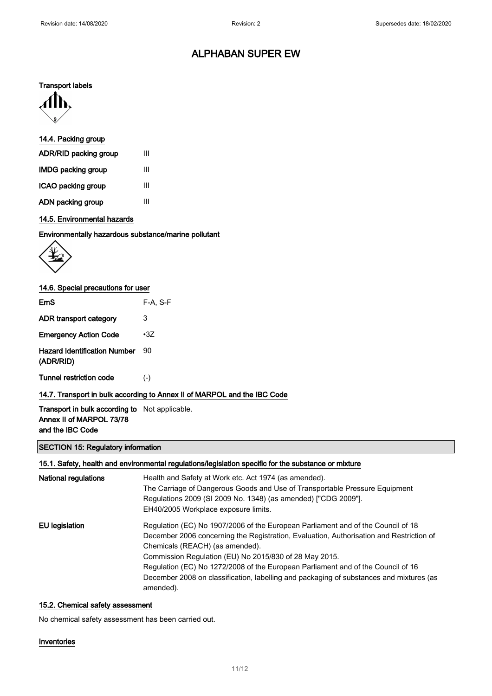#### Transport labels



### 14.4. Packing group

| ADR/RID packing group     | Ш |
|---------------------------|---|
| <b>IMDG packing group</b> | Ш |
| ICAO packing group        | Ш |
| ADN packing group         | Ш |

### 14.5. Environmental hazards

Environmentally hazardous substance/marine pollutant



### 14.6. Special precautions for user

| EmS                                              | $F-A. S-F$                                                               |
|--------------------------------------------------|--------------------------------------------------------------------------|
| ADR transport category                           | 3                                                                        |
| <b>Emergency Action Code</b>                     | $\cdot 3Z$                                                               |
| <b>Hazard Identification Number</b><br>(ADR/RID) | 90                                                                       |
| <b>Tunnel restriction code</b>                   | $(-)$                                                                    |
|                                                  | 14.7. Transport in bulk according to Annex II of MARPOL and the IBC Code |

### Transport in bulk according to Not applicable. Annex II of MARPOL 73/78 and the IBC Code

### SECTION 15: Regulatory information

### 15.1. Safety, health and environmental regulations/legislation specific for the substance or mixture

| National regulations | Health and Safety at Work etc. Act 1974 (as amended).<br>The Carriage of Dangerous Goods and Use of Transportable Pressure Equipment<br>Regulations 2009 (SI 2009 No. 1348) (as amended) ["CDG 2009"].<br>EH40/2005 Workplace exposure limits.                                                                                                                                                                                                                       |
|----------------------|----------------------------------------------------------------------------------------------------------------------------------------------------------------------------------------------------------------------------------------------------------------------------------------------------------------------------------------------------------------------------------------------------------------------------------------------------------------------|
| EU legislation       | Regulation (EC) No 1907/2006 of the European Parliament and of the Council of 18<br>December 2006 concerning the Registration, Evaluation, Authorisation and Restriction of<br>Chemicals (REACH) (as amended).<br>Commission Regulation (EU) No 2015/830 of 28 May 2015.<br>Regulation (EC) No 1272/2008 of the European Parliament and of the Council of 16<br>December 2008 on classification, labelling and packaging of substances and mixtures (as<br>amended). |

#### 15.2. Chemical safety assessment

No chemical safety assessment has been carried out.

#### Inventories